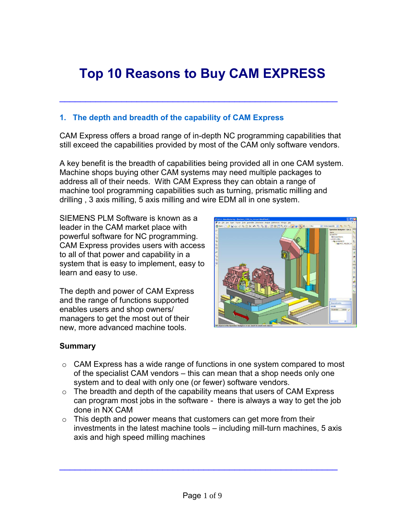# **Top 10 Reasons to Buy CAM EXPRESS**

\_\_\_\_\_\_\_\_\_\_\_\_\_\_\_\_\_\_\_\_\_\_\_\_\_\_\_\_\_\_\_\_\_\_\_\_\_\_\_\_\_\_\_\_\_\_\_\_\_\_\_\_\_\_

## **1. The depth and breadth of the capability of CAM Express**

CAM Express offers a broad range of in-depth NC programming capabilities that still exceed the capabilities provided by most of the CAM only software vendors.

A key benefit is the breadth of capabilities being provided all in one CAM system. Machine shops buying other CAM systems may need multiple packages to address all of their needs. With CAM Express they can obtain a range of machine tool programming capabilities such as turning, prismatic milling and drilling , 3 axis milling, 5 axis milling and wire EDM all in one system.

SIEMENS PLM Software is known as a leader in the CAM market place with powerful software for NC programming. CAM Express provides users with access to all of that power and capability in a system that is easy to implement, easy to learn and easy to use.

The depth and power of CAM Express and the range of functions supported enables users and shop owners/ managers to get the most out of their new, more advanced machine tools.



#### **Summary**

- $\circ$  CAM Express has a wide range of functions in one system compared to most of the specialist CAM vendors – this can mean that a shop needs only one system and to deal with only one (or fewer) software vendors.
- $\circ$  The breadth and depth of the capability means that users of CAM Express can program most jobs in the software - there is always a way to get the job done in NX CAM
- $\circ$  This depth and power means that customers can get more from their investments in the latest machine tools – including mill-turn machines, 5 axis axis and high speed milling machines

 $\overline{\phantom{a}}$  , and the contract of the contract of the contract of the contract of the contract of the contract of the contract of the contract of the contract of the contract of the contract of the contract of the contrac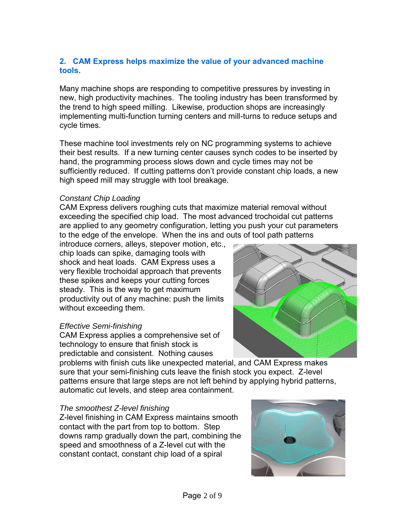# **2. CAM Express helps maximize the value of your advanced machine tools.**

Many machine shops are responding to competitive pressures by investing in new, high productivity machines. The tooling industry has been transformed by the trend to high speed milling. Likewise, production shops are increasingly implementing multi-function turning centers and mill-turns to reduce setups and cycle times.

These machine tool investments rely on NC programming systems to achieve their best results. If a new turning center causes synch codes to be inserted by hand, the programming process slows down and cycle times may not be sufficiently reduced. If cutting patterns don't provide constant chip loads, a new high speed mill may struggle with tool breakage.

#### *Constant Chip Loading*

CAM Express delivers roughing cuts that maximize material removal without exceeding the specified chip load. The most advanced trochoidal cut patterns are applied to any geometry configuration, letting you push your cut parameters to the edge of the envelope. When the ins and outs of tool path patterns

introduce corners, alleys, stepover motion, etc., chip loads can spike, damaging tools with shock and heat loads. CAM Express uses a very flexible trochoidal approach that prevents these spikes and keeps your cutting forces steady. This is the way to get maximum productivity out of any machine: push the limits without exceeding them.

# *Effective Semi-finishing*

CAM Express applies a comprehensive set of technology to ensure that finish stock is predictable and consistent. Nothing causes

problems with finish cuts like unexpected material, and CAM Express makes sure that your semi-finishing cuts leave the finish stock you expect. Z-level patterns ensure that large steps are not left behind by applying hybrid patterns, automatic cut levels, and steep area containment.

#### *The smoothest Z-level finishing*

Z-level finishing in CAM Express maintains smooth contact with the part from top to bottom. Step downs ramp gradually down the part, combining the speed and smoothness of a Z-level cut with the constant contact, constant chip load of a spiral



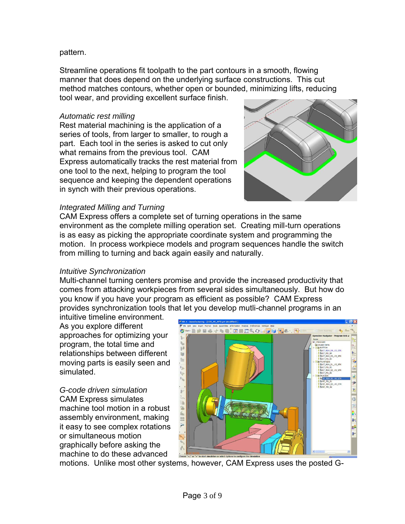#### pattern.

Streamline operations fit toolpath to the part contours in a smooth, flowing manner that does depend on the underlying surface constructions. This cut method matches contours, whether open or bounded, minimizing lifts, reducing tool wear, and providing excellent surface finish.

#### *Automatic rest milling*

Rest material machining is the application of a series of tools, from larger to smaller, to rough a part. Each tool in the series is asked to cut only what remains from the previous tool. CAM Express automatically tracks the rest material from one tool to the next, helping to program the tool sequence and keeping the dependent operations in synch with their previous operations.



#### *Integrated Milling and Turning*

CAM Express offers a complete set of turning operations in the same environment as the complete milling operation set. Creating mill-turn operations is as easy as picking the appropriate coordinate system and programming the motion. In process workpiece models and program sequences handle the switch from milling to turning and back again easily and naturally.

#### *Intuitive Synchronization*

Multi-channel turning centers promise and provide the increased productivity that comes from attacking workpieces from several sides simultaneously. But how do you know if you have your program as efficient as possible? CAM Express provides synchronization tools that let you develop mutli-channel programs in an

intuitive timeline environment. As you explore different approaches for optimizing your program, the total time and relationships between different moving parts is easily seen and simulated.

*G-code driven simulation*  CAM Express simulates machine tool motion in a robust assembly environment, making it easy to see complex rotations or simultaneous motion graphically before asking the machine to do these advanced



motions. Unlike most other systems, however, CAM Express uses the posted G-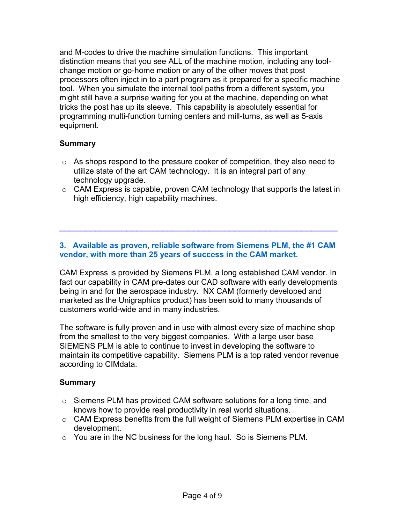and M-codes to drive the machine simulation functions. This important distinction means that you see ALL of the machine motion, including any toolchange motion or go-home motion or any of the other moves that post processors often inject in to a part program as it prepared for a specific machine tool. When you simulate the internal tool paths from a different system, you might still have a surprise waiting for you at the machine, depending on what tricks the post has up its sleeve. This capability is absolutely essential for programming multi-function turning centers and mill-turns, as well as 5-axis equipment.

# **Summary**

- $\circ$  As shops respond to the pressure cooker of competition, they also need to utilize state of the art CAM technology. It is an integral part of any technology upgrade.
- $\circ$  CAM Express is capable, proven CAM technology that supports the latest in high efficiency, high capability machines.

## **3. Available as proven, reliable software from Siemens PLM, the #1 CAM vendor, with more than 25 years of success in the CAM market.**

 $\overline{\phantom{a}}$  , and the contract of the contract of the contract of the contract of the contract of the contract of the contract of the contract of the contract of the contract of the contract of the contract of the contrac

CAM Express is provided by Siemens PLM, a long established CAM vendor. In fact our capability in CAM pre-dates our CAD software with early developments being in and for the aerospace industry. NX CAM (formerly developed and marketed as the Unigraphics product) has been sold to many thousands of customers world-wide and in many industries.

The software is fully proven and in use with almost every size of machine shop from the smallest to the very biggest companies. With a large user base SIEMENS PLM is able to continue to invest in developing the software to maintain its competitive capability. Siemens PLM is a top rated vendor revenue according to CIMdata.

# **Summary**

- o Siemens PLM has provided CAM software solutions for a long time, and knows how to provide real productivity in real world situations.
- o CAM Express benefits from the full weight of Siemens PLM expertise in CAM development.
- o You are in the NC business for the long haul. So is Siemens PLM.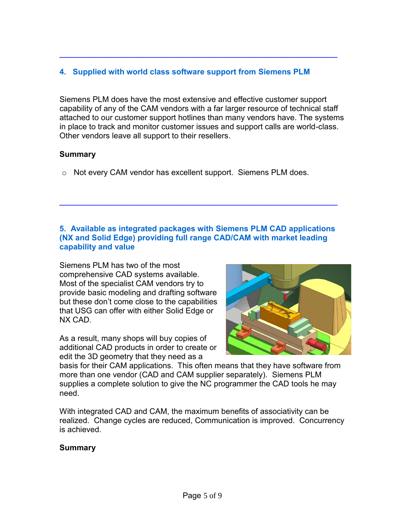# **4. Supplied with world class software support from Siemens PLM**

\_\_\_\_\_\_\_\_\_\_\_\_\_\_\_\_\_\_\_\_\_\_\_\_\_\_\_\_\_\_\_\_\_\_\_\_\_\_\_\_\_\_\_\_\_\_\_\_\_\_\_\_\_\_

Siemens PLM does have the most extensive and effective customer support capability of any of the CAM vendors with a far larger resource of technical staff attached to our customer support hotlines than many vendors have. The systems in place to track and monitor customer issues and support calls are world-class. Other vendors leave all support to their resellers.

#### **Summary**

o Not every CAM vendor has excellent support. Siemens PLM does.

# **5. Available as integrated packages with Siemens PLM CAD applications (NX and Solid Edge) providing full range CAD/CAM with market leading capability and value**

\_\_\_\_\_\_\_\_\_\_\_\_\_\_\_\_\_\_\_\_\_\_\_\_\_\_\_\_\_\_\_\_\_\_\_\_\_\_\_\_\_\_\_\_\_\_\_\_\_\_\_\_\_\_

Siemens PLM has two of the most comprehensive CAD systems available. Most of the specialist CAM vendors try to provide basic modeling and drafting software but these don't come close to the capabilities that USG can offer with either Solid Edge or NX CAD.

As a result, many shops will buy copies of additional CAD products in order to create or edit the 3D geometry that they need as a



basis for their CAM applications. This often means that they have software from more than one vendor (CAD and CAM supplier separately). Siemens PLM supplies a complete solution to give the NC programmer the CAD tools he may need.

With integrated CAD and CAM, the maximum benefits of associativity can be realized. Change cycles are reduced, Communication is improved. Concurrency is achieved.

#### **Summary**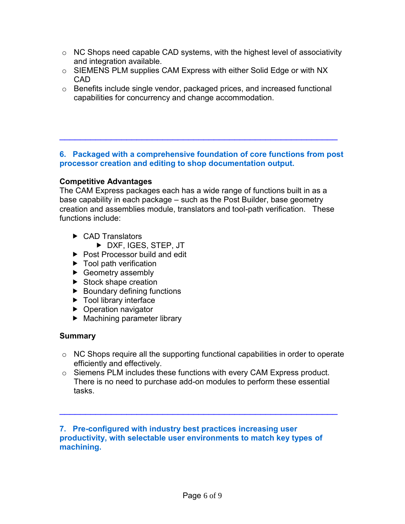- $\circ$  NC Shops need capable CAD systems, with the highest level of associativity and integration available.
- o SIEMENS PLM supplies CAM Express with either Solid Edge or with NX CAD
- $\circ$  Benefits include single vendor, packaged prices, and increased functional capabilities for concurrency and change accommodation.

#### **6. Packaged with a comprehensive foundation of core functions from post processor creation and editing to shop documentation output.**

\_\_\_\_\_\_\_\_\_\_\_\_\_\_\_\_\_\_\_\_\_\_\_\_\_\_\_\_\_\_\_\_\_\_\_\_\_\_\_\_\_\_\_\_\_\_\_\_\_\_\_\_\_\_

# **Competitive Advantages**

The CAM Express packages each has a wide range of functions built in as a base capability in each package – such as the Post Builder, base geometry creation and assemblies module, translators and tool-path verification. These functions include:

- ▶ CAD Translators
	- DXF, IGES, STEP, JT
- ▶ Post Processor build and edit
- $\blacktriangleright$  Tool path verification
- Geometry assembly
- Stock shape creation
- $\blacktriangleright$  Boundary defining functions
- ▶ Tool library interface
- ▶ Operation navigator
- ▶ Machining parameter library

# **Summary**

- $\circ$  NC Shops require all the supporting functional capabilities in order to operate efficiently and effectively.
- o Siemens PLM includes these functions with every CAM Express product. There is no need to purchase add-on modules to perform these essential tasks.

 $\overline{a}$  , and the contribution of the contribution of the contribution of the contribution of the contribution of the contribution of the contribution of the contribution of the contribution of the contribution of the co

**7. Pre-configured with industry best practices increasing user productivity, with selectable user environments to match key types of machining.**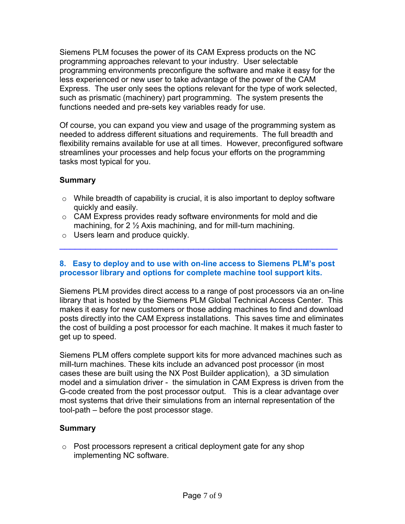Siemens PLM focuses the power of its CAM Express products on the NC programming approaches relevant to your industry. User selectable programming environments preconfigure the software and make it easy for the less experienced or new user to take advantage of the power of the CAM Express. The user only sees the options relevant for the type of work selected, such as prismatic (machinery) part programming. The system presents the functions needed and pre-sets key variables ready for use.

Of course, you can expand you view and usage of the programming system as needed to address different situations and requirements. The full breadth and flexibility remains available for use at all times. However, preconfigured software streamlines your processes and help focus your efforts on the programming tasks most typical for you.

# **Summary**

- $\circ$  While breadth of capability is crucial, it is also important to deploy software quickly and easily.
- o CAM Express provides ready software environments for mold and die machining, for 2 ½ Axis machining, and for mill-turn machining.
- o Users learn and produce quickly.

#### **8. Easy to deploy and to use with on-line access to Siemens PLM's post processor library and options for complete machine tool support kits.**

 $\overline{a}$  , and the contribution of the contribution of the contribution of the contribution of the contribution of the contribution of the contribution of the contribution of the contribution of the contribution of the co

Siemens PLM provides direct access to a range of post processors via an on-line library that is hosted by the Siemens PLM Global Technical Access Center. This makes it easy for new customers or those adding machines to find and download posts directly into the CAM Express installations. This saves time and eliminates the cost of building a post processor for each machine. It makes it much faster to get up to speed.

Siemens PLM offers complete support kits for more advanced machines such as mill-turn machines. These kits include an advanced post processor (in most cases these are built using the NX Post Builder application), a 3D simulation model and a simulation driver - the simulation in CAM Express is driven from the G-code created from the post processor output. This is a clear advantage over most systems that drive their simulations from an internal representation of the tool-path – before the post processor stage.

#### **Summary**

 $\circ$  Post processors represent a critical deployment gate for any shop implementing NC software.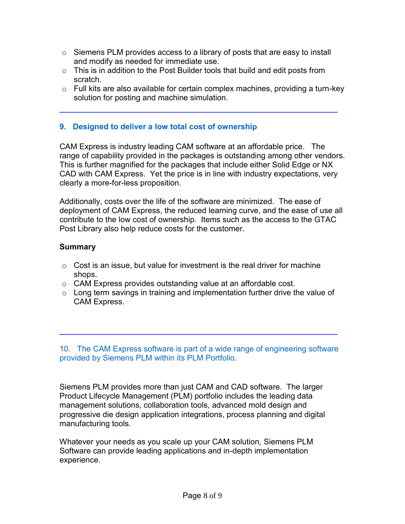- $\circ$  Siemens PLM provides access to a library of posts that are easy to install and modify as needed for immediate use.
- $\circ$  This is in addition to the Post Builder tools that build and edit posts from scratch.
- $\circ$  Full kits are also available for certain complex machines, providing a turn-key solution for posting and machine simulation.

 $\overline{a}$  , and the contribution of the contribution of the contribution of the contribution of the contribution of the contribution of the contribution of the contribution of the contribution of the contribution of the co

# **9. Designed to deliver a low total cost of ownership**

CAM Express is industry leading CAM software at an affordable price. The range of capability provided in the packages is outstanding among other vendors. This is further magnified for the packages that include either Solid Edge or NX CAD with CAM Express. Yet the price is in line with industry expectations, very clearly a more-for-less proposition.

Additionally, costs over the life of the software are minimized. The ease of deployment of CAM Express, the reduced learning curve, and the ease of use all contribute to the low cost of ownership. Items such as the access to the GTAC Post Library also help reduce costs for the customer.

# **Summary**

- $\circ$  Cost is an issue, but value for investment is the real driver for machine shops.
- o CAM Express provides outstanding value at an affordable cost.
- $\circ$  Long term savings in training and implementation further drive the value of CAM Express.

10. The CAM Express software is part of a wide range of engineering software provided by Siemens PLM within its PLM Portfolio.

 $\overline{\phantom{a}}$  , and the contract of the contract of the contract of the contract of the contract of the contract of the contract of the contract of the contract of the contract of the contract of the contract of the contrac

Siemens PLM provides more than just CAM and CAD software. The larger Product Lifecycle Management (PLM) portfolio includes the leading data management solutions, collaboration tools, advanced mold design and progressive die design application integrations, process planning and digital manufacturing tools.

Whatever your needs as you scale up your CAM solution, Siemens PLM Software can provide leading applications and in-depth implementation experience.